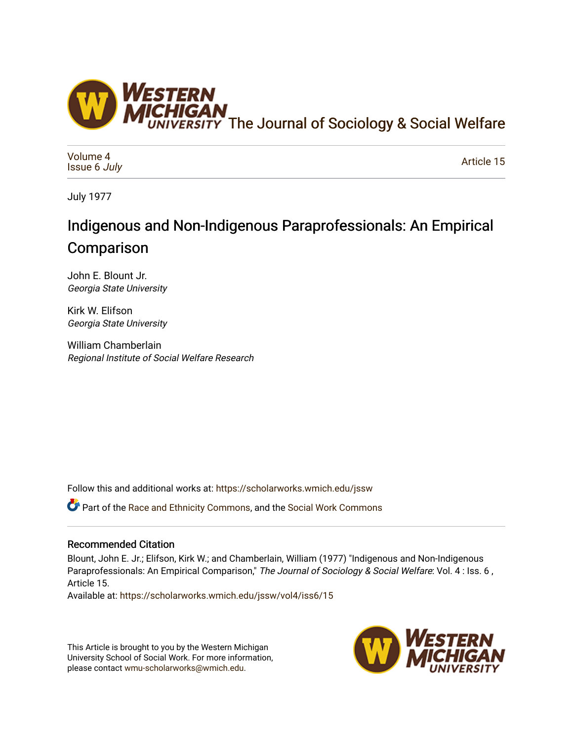

[Volume 4](https://scholarworks.wmich.edu/jssw/vol4) [Issue 6](https://scholarworks.wmich.edu/jssw/vol4/iss6) July

[Article 15](https://scholarworks.wmich.edu/jssw/vol4/iss6/15) 

July 1977

# Indigenous and Non-Indigenous Paraprofessionals: An Empirical **Comparison**

John E. Blount Jr. Georgia State University

Kirk W. Elifson Georgia State University

William Chamberlain Regional Institute of Social Welfare Research

Follow this and additional works at: [https://scholarworks.wmich.edu/jssw](https://scholarworks.wmich.edu/jssw?utm_source=scholarworks.wmich.edu%2Fjssw%2Fvol4%2Fiss6%2F15&utm_medium=PDF&utm_campaign=PDFCoverPages) 

Part of the [Race and Ethnicity Commons,](http://network.bepress.com/hgg/discipline/426?utm_source=scholarworks.wmich.edu%2Fjssw%2Fvol4%2Fiss6%2F15&utm_medium=PDF&utm_campaign=PDFCoverPages) and the [Social Work Commons](http://network.bepress.com/hgg/discipline/713?utm_source=scholarworks.wmich.edu%2Fjssw%2Fvol4%2Fiss6%2F15&utm_medium=PDF&utm_campaign=PDFCoverPages) 

# Recommended Citation

Blount, John E. Jr.; Elifson, Kirk W.; and Chamberlain, William (1977) "Indigenous and Non-Indigenous Paraprofessionals: An Empirical Comparison," The Journal of Sociology & Social Welfare: Vol. 4 : Iss. 6, Article 15.

Available at: [https://scholarworks.wmich.edu/jssw/vol4/iss6/15](https://scholarworks.wmich.edu/jssw/vol4/iss6/15?utm_source=scholarworks.wmich.edu%2Fjssw%2Fvol4%2Fiss6%2F15&utm_medium=PDF&utm_campaign=PDFCoverPages)

This Article is brought to you by the Western Michigan University School of Social Work. For more information, please contact [wmu-scholarworks@wmich.edu.](mailto:wmu-scholarworks@wmich.edu)

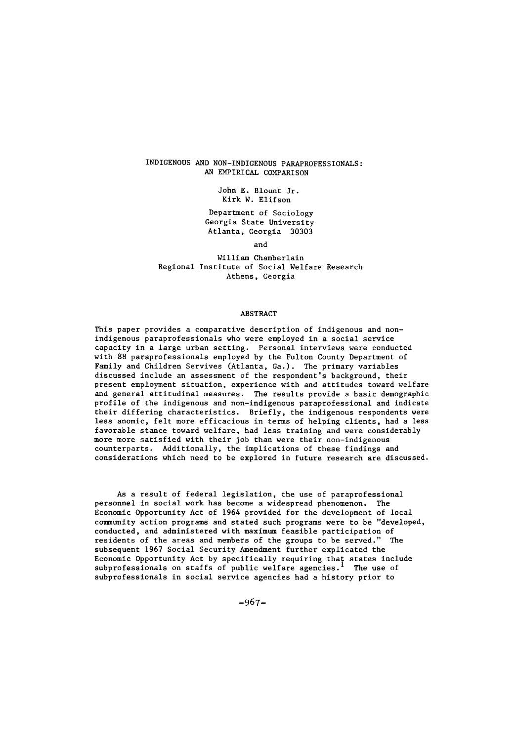## INDIGENOUS AND NON-INDIGENOUS PARAPROFESSIONALS: AN EMPIRICAL COMPARISON

John E. Blount Jr. Kirk W. Elifson

Department of Sociology Georgia State University Atlanta, Georgia 30303

and

William Chamberlain Regional Institute of Social Welfare Research Athens, Georgia

#### ABSTRACT

This paper provides a comparative description of indigenous and nonindigenous paraprofessionals who were employed in a social service capacity in a large urban setting. Personal interviews were conducted with 88 paraprofessionals employed by the Fulton County Department of Family and Children Servives (Atlanta, Ga.). The primary variables discussed include an assessment of the respondent's background, their present employment situation, experience with and attitudes toward welfare and general attitudinal measures. The results provide a basic demographic profile of the indigenous and non-indigenous paraprofessional and indicate their differing characteristics. Briefly, the indigenous respondents were less anomic, felt more efficacious in terms of helping clients, had a less favorable stance toward welfare, had less training and were considerably more more satisfied with their job than were their non-indigenous counterparts. Additionally, the implications of these findings and considerations which need to be explored in future research are discussed.

As a result of federal legislation, the use of paraprofessional personnel in social work has become a widespread phenomenon. The Economic Opportunity Act of 1964 provided for the development of local community action programs and stated such programs were to be "developed, conducted, and administered with maximum feasible participation of residents of the areas and members of the groups to be served." The subsequent 1967 Social Security Amendment further explicated the Economic Opportunity Act by specifically requiring that states include subprofessionals on staffs of public welfare agencies. I The use of subprofessionals in social service agencies had a history prior to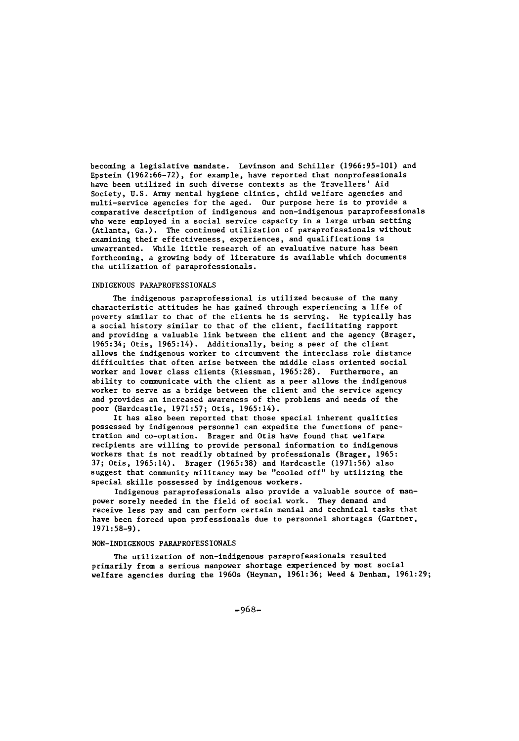becoming a legislative mandate. Levinson and Schiller (1966:95-101) and Epstein (1962:66-72), for example, have reported that nonprofessionals have been utilized in such diverse contexts as the Travellers' Aid Society, U.S. Army mental hygiene clinics, child welfare agencies and multi-service agencies for the aged. Our purpose here is to provide a comparative description of indigenous and non-indigenous paraprofessionals who were employed in a social service capacity in a large urban setting (Atlanta, Ga.). The continued utilization of paraprofessionals without examining their effectiveness, experiences, and qualifications is unwarranted. While little research of an evaluative nature has been forthcoming, a growing body of literature is available which documents the utilization of paraprofessionals.

#### INDIGENOUS PARAPROFESSIONALS

The indigenous paraprofessional is utilized because of the many characteristic attitudes he has gained through experiencing a life of poverty similar to that of the clients he is serving. He typically has a social history similar to that of the client, facilitating rapport and providing a valuable link between the client and the agency (Brager, 1965:34; Otis, 1965:14). Additionally, being a peer of the client allows the indigenous worker to circumvent the interclass role distance difficulties that often arise between the middle class oriented social worker and lower class clients (Riessman, 1965:28). Furthermore, an ability to communicate with the client as a peer allows the indigenous worker to serve as a bridge between the client and the service agency and provides an increased awareness of the problems and needs of the poor (Hardcastle, 1971:57; Otis, 1965:14).

It has also been reported that those special inherent qualities possessed by indigenous personnel can expedite the functions of penetration and co-optation. Brager and Otis have found that welfare recipients are willing to provide personal information to indigenous workers that is not readily obtained by professionals (Brager, 1965: 37; Otis, 1965:14). Brager (1965:38) and Hardcastle (1971:56) also suggest that community militancy may be "cooled off" **by** utilizing the special skills possessed by indigenous workers.

Indigenous paraprofessionals also provide a valuable source of manpower sorely needed in the field of social work. They demand and receive less pay and can perform certain menial and technical tasks that have been forced upon professionals due to personnel shortages (Gartner, 1971:58-9).

### NON-INDIGENOUS PARAPROFESSIONALS

The utilization of non-indigenous paraprofessionals resulted primarily from a serious manpower shortage experienced by most social welfare agencies during the 1960s (Heyman, 1961:36; Weed & Denham, 1961:29;

-968-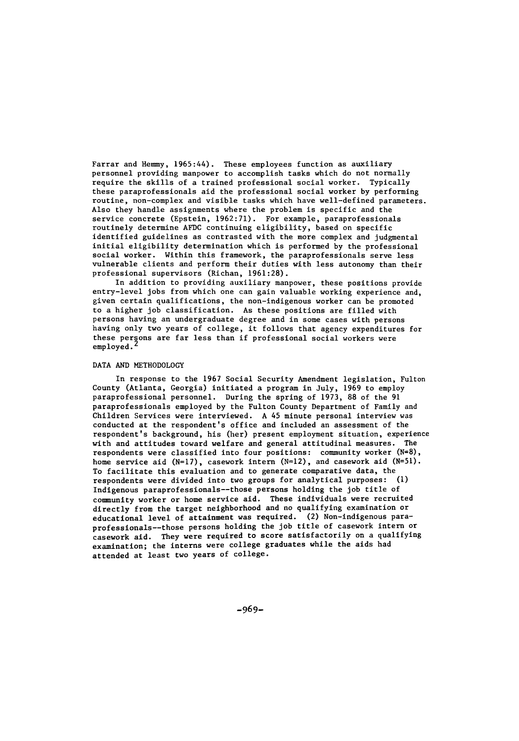Farrar and Hemmy, 1965:44). These employees function as auxiliary personnel providing manpower to accomplish tasks which do not normally require the skills of a trained professional social worker. Typically these paraprofessionals aid the professional social worker by performing routine, non-complex and visible tasks which have well-defined parameters. Also they handle assignments where the problem is specific and the service concrete (Epstein, 1962:71). For example, paraprofessionals routinely determine AFDC continuing eligibility, based on specific identified guidelines as contrasted with the more complex and judgmental initial eligibility determination which is performed by the professional social worker. Within this framework, the paraprofessionals serve less vulnerable clients and perform their duties with less autonomy than their professional supervisors (Richan, 1961:28).

In addition to providing auxiliary manpower, these positions provide entry-level jobs from which one can gain valuable working experience and, given certain qualifications, the non-indigenous worker can be promoted to a higher job classification. As these positions are filled with persons having an undergraduate degree and in some cases with persons having only two years of college, it follows that agency expenditures for these persons are far less than if professional social workers were employed.

#### DATA AND METHODOLOGY

In response to the 1967 Social Security Amendment legislation, Fulton County (Atlanta, Georgia) initiated a program in July, 1969 to employ paraprofessional personnel. During the spring of 1973, 88 of the 91 paraprofessionals employed by the Fulton County Department of Family and Children Services were interviewed. A 45 minute personal interview was conducted at the respondent's office and included an assessment of the respondent's background, his (her) present employment situation, experience with and attitudes toward welfare and general attitudinal measures. The respondents were classified into four positions: community worker (N=8), home service aid (N=17), casework intern (N=12), and casework aid (N=51). To facilitate this evaluation and to generate comparative data, the respondents were divided into two groups for analytical purposes: **(1)** Indigenous paraprofessionals--those persons holding the job title of community worker or home service aid. These individuals were recruited directly from the target neighborhood and no qualifying examination or educational level of attainment was required. (2) Non-indigenous paraprofessionals--those persons holding the job title of casework intern or casework aid. They were required to score satisfactorily on a qualifying examination; the interns were college graduates while the aids had attended at least two years of college.

-969-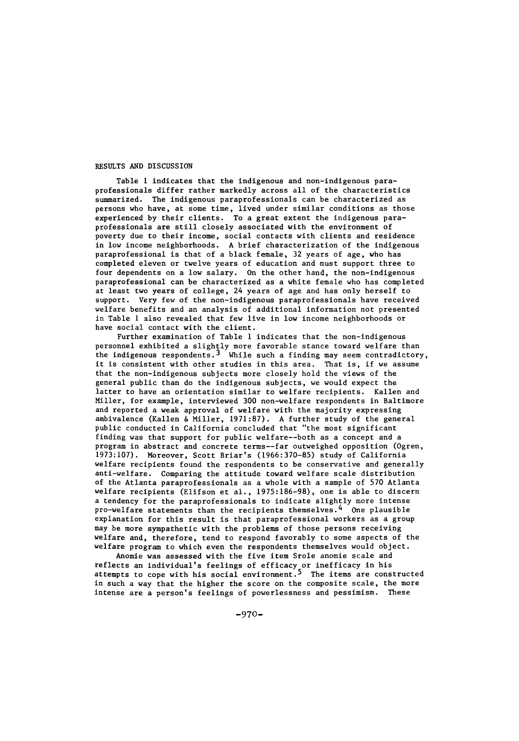### RESULTS **AND** DISCUSSION

Table **I** indicates that the indigenous and non-indigenous paraprofessionals differ rather markedly across all of the characteristics summarized. The indigenous paraprofessionals can be characterized as persons who have, at some time, lived under similar conditions as those experienced by their clients. To a great extent the indigenous paraprofessionals are still closely associated with the environment of poverty due to their income, social contacts with clients and residence in low income neighborhoods. A brief characterization of the indigenous paraprofessional is that of a black female, 32 years of age, who has completed eleven or twelve years of education and must support three to four dependents on a low salary. On the other hand, the non-indigenous paraprofessional can be characterized as a white female who has completed at least two years of college, 24 years of age and has only herself to support. Very few of the non-indigenous paraprofessionals have received welfare benefits and an analysis of additional information not presented in Table **1** also revealed that few live in low income neighborhoods or have social contact with the client.

Further examination of Table **1** indicates that the non-indigenous personnel exhibited a slightly more favorable stance toward welfare than<br>the indigenous respondents.<sup>3</sup> While such a finding may seem contradictory, it is consistent with other studies in this area. That is, if we assume that the non-indigenous subjects more closely hold the views of the general public than do the indigenous subjects, we would expect the latter to have an orientation similar to welfare recipients. Kallen and Miller, for example, interviewed 300 non-welfare respondents in Baltimore and reported a weak approval of welfare with the majority expressing ambivalence (Kallen & Miller, 1971:87). A further study of the general public conducted in California concluded that "the most significant finding was that support for public welfare--both as a concept and a program in abstract and concrete terms--far outweighed opposition (Ogren, 1973:107). Moreover, Scott Briar's (1966:370-85) study of California welfare recipients found the respondents to be conservative and generally anti-welfare. Comparing the attitude toward welfare scale distribution of the Atlanta paraprofessionals as a whole with a sample of 570 Atlanta welfare recipients (Elifson et al., 1975:186-98), one is able to discern a tendency for the paraprofessionals to indicate slightly more intense pro-welfare statements than the recipients themselves.<sup>4</sup> One plausible explanation for this result is that paraprofessional workers as a group may be more sympathetic with the problems of those persons receiving welfare and, therefore, tend to respond favorably to some aspects of the welfare program to which even the respondents themselves would object.

Anomie was assessed with the five item Srole anomie scale and reflects an individual's feelings of efficacy or inefficacy in his attempts to cope with his social environment.<sup>5</sup> The items are constructed in such a way that the higher the score on the composite scale, the more intense are a person's feelings of powerlessness and pessimism. These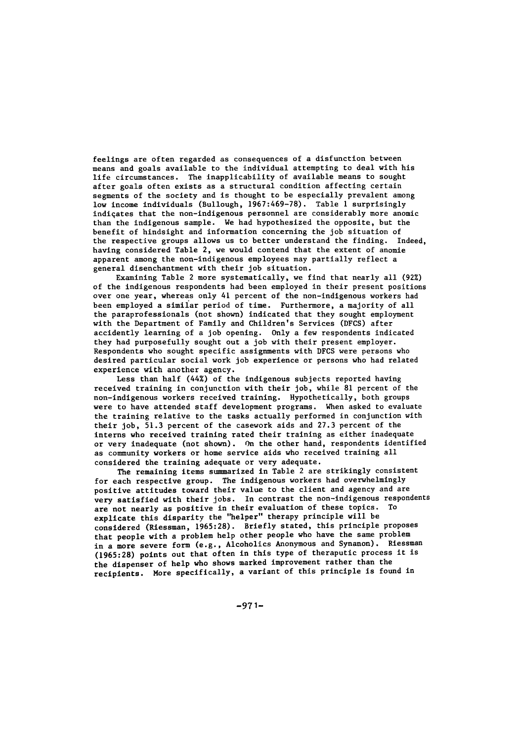feelings are often regarded as consequences of a disfunction between means and goals available to the individual attempting to deal with his life circumstances. The inapplicability of available means to sought after goals often exists as a structural condition affecting certain segments of the society and is thought to be especially prevalent among low income individuals (Bullough, 1967:469-78). Table **1** surprisingly indiqates that the non-indigenous personnel are considerably more anomic than the indigenous sample. We had hypothesized the opposite, but the benefit of hindsight and information concerning the job situation of the respective groups allows us to better understand the finding. Indeed, having considered Table 2, we would contend that the extent of anomie apparent among the non-indigenous employees may partially reflect a general disenchantment with their job situation.

Examining Table 2 more systematically, we find that nearly all (92%) of the indigenous respondents had been employed in their present positions over one year, whereas only 41 percent of the non-indigenous workers had been employed a similar period of time. Furthermore, a majority of all the paraprofessionals (not shown) indicated that they sought employment with the Department of Family and Children's Services (DFCS) after accidently learning of a job opening. Only a few respondents indicated they had purposefully sought out a job with their present employer. Respondents who sought specific assignments with DFCS were persons who desired particular social work job experience or persons who had related experience with another agency.

Less than half (44%) of the indigenous subjects reported having received training in conjunction with their job, while 81 percent of the non-indigenous workers received training. Hypothetically, both groups were to have attended staff development programs. When asked to evaluate the training relative to the tasks actually performed in conjunction with their job, 51.3 percent of the casework aids and 27.3 percent of the interns who received training rated their training as either inadequate or very inadequate (not shown). On the other hand, respondents identified as community workers or home service aids who received training all considered the training adequate or very adequate.

The remaining items summarized in Table 2 are strikingly consistent for each respective group. The indigenous workers had overwhelmingly positive attitudes toward their value to the client and agency and are very satisfied with their jobs. In contrast the non-indigenous respondents are not nearly as positive in their evaluation of these topics. To explicate this disparity the "helper" therapy principle will be considered (Riessman, 1965:28). Briefly stated, this principle proposes that people with a problem help other people who have the same problem in a more severe form (e.g., Alcoholics Anonymous and Synanon). Riessman (1965:28) points out that often in this type of theraputic process it is the dispenser of help who shows marked improvement rather than the recipients. More specifically, a variant of this principle is found in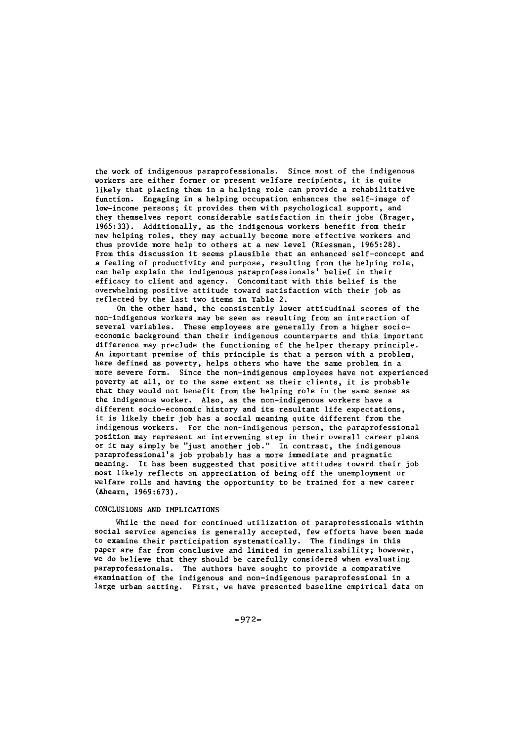the work of indigenous paraprofessionals. Since most of the indigenous workers are either former or present welfare recipients, it is quite likely that placing them in a helping role can provide a rehabilitative function. Engaging in a helping occupation enhances the self-image of low-income persons; it provides them with psychological support, and they themselves report considerable satisfaction in their jobs (Brager, 1965:33). Additionally, as the indigenous workers benefit from their new helping roles, they may actually become more effective workers and thus provide more help to others at a new level (Riessman, 1965:28). From this discussion it seems plausible that an enhanced self-concept and a feeling of productivity and purpose, resulting from the helping role, can help explain the indigenous paraprofessionals' belief in their efficacy to client and agency. Concomitant with this belief is the overwhelming positive attitude toward satisfaction with their job as reflected by the last two items in Table 2.

On the other hand, the consistently lower attitudinal scores of the non-indigenous workers may be seen as resulting from an interaction of several variables. These employees are generally from a higher socioeconomic background than their indigenous counterparts and this important difference may preclude the functioning of the helper therapy principle. An important premise of this principle is that a person with a problem, here defined as poverty, helps others who have the same problem in a more severe form. Since the non-indigenous employees have not experienced poverty at all, or to the ssme extent as their clients, it is probable that they would not benefit from the helping role in the same sense as the indigenous worker. Also, as the non-indigenous workers have a different socio-economic history and its resultant life expectations, it is likely their job has a social meaning quite different from the indigenous workers. For the non-indigenous person, the paraprofessional position may represent an intervening step in their overall career plans or it may simply be "just another job." In contrast, the indigenous paraprofessional's job probably has a more immediate and pragmatic meaning. It has been suggested that positive attitudes toward their job most likely reflects an appreciation of being off the unemployment or welfare rolls and having the opportunity to be trained for a new career (Ahearn, 1969:673).

### CONCLUSIONS AND IMPLICATIONS

While the need for continued utilization of paraprofessionals within social service agencies is generally accepted, few efforts have been made to examine their participation systematically. The findings in this paper are far from conclusive and limited in generalizability; however, we do believe that they should be carefully considered when evaluating paraprofessionals. The authors have sought to provide a comparative examination of the indigenous and non-indigenous paraprofessional in a large urban setting. First, we have presented baseline empirical data on

-972-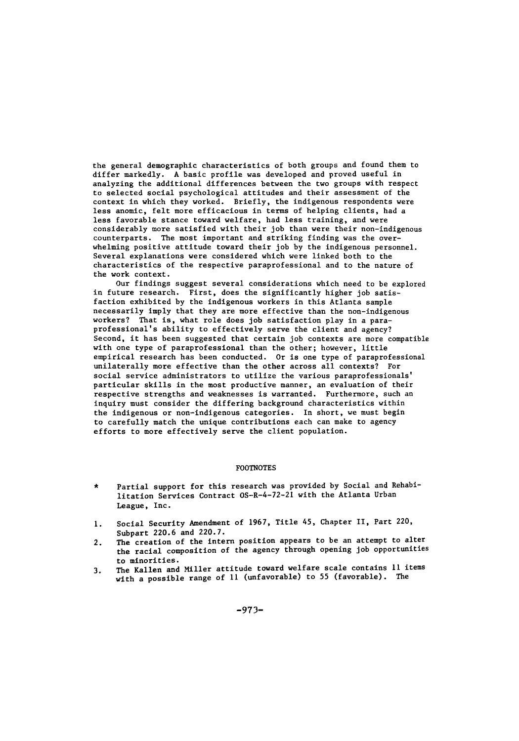the general demographic characteristics of both groups and found them to differ markedly. A basic profile was developed and proved useful in analyzing the additional differences between the two groups with respect to selected social psychological attitudes and their assessment of the context in which they worked. Briefly, the indigenous respondents were less anomic, felt more efficacious in terms of helping clients, had a less favorable stance toward welfare, had less training, and were considerably more satisfied with their job than were their non-indigenous counterparts. The most important and striking finding was the overwhelming positive attitude toward their job by the indigenous personnel. Several explanations were considered which were linked both to the characteristics of the respective paraprofessional and to the nature of the work context.

Our findings suggest several considerations which need to be explored in future research. First, does the significantly higher job satisfaction exhibited by the indigenous workers in this Atlanta sample necessarily imply that they are more effective than the non-indigenous workers? That is, what role does job satisfaction play in a paraprofessional's ability to effectively serve the client and agency? Second, it has been suggested that certain job contexts are more compatible with one type of paraprofessional than the other; however, little empirical research has been conducted. Or is one type of paraprofessional unilaterally more effective than the other across all contexts? For social service administrators to utilize the various paraprofessionals' particular skills in the most productive manner, an evaluation of their respective strengths and weaknesses is warranted. Furthermore, such an inquiry must consider the differing background characteristics within the indigenous or non-indigenous categories. In short, we must begin to carefully match the unique contributions each can make to agency efforts to more effectively serve the client population.

#### FOOTNOTES

- Partial support for this research was provided by Social and Rehabilitation Services Contract OS-R-4-72-21 with the Atlanta Urban League, Inc.
- **1.** Social Security Amendment of 1967, Title 45, Chapter II, Part 220, Subpart 220.6 and 220.7.
- 2. The creation of the intern position appears to be an attempt to alter the racial composition of the agency through opening job opportunities to minorities.
- 3. The Kallen and Miller attitude toward welfare scale contains **11** items with a possible range of **11** (unfavorable) to 55 (favorable). The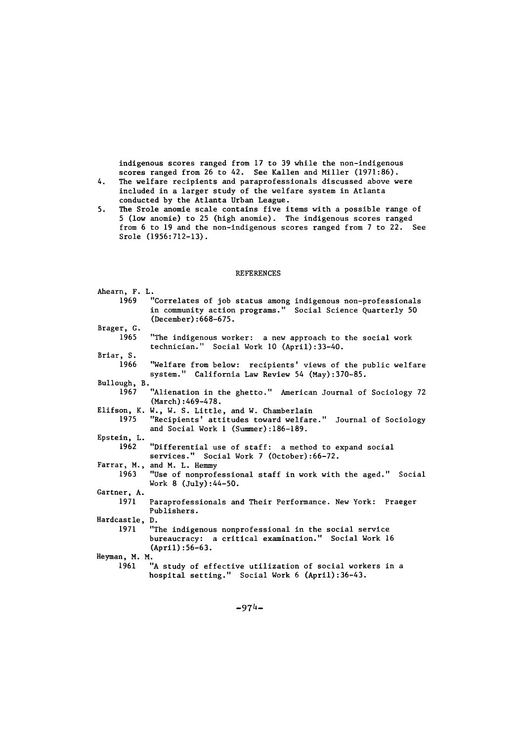indigenous scores ranged from 17 to 39 while the non-indigenous scores ranged from 26 to 42. See Kallen and Miller (1971:86).

- 4. The welfare recipients and paraprofessionals discussed above were included in a larger study of the welfare system in Atlanta conducted by the Atlanta Urban League.
- **5.** The Srole anomie scale contains five items with a possible range of 5 (low anomie) to 25 (high anomie). The indigenous scores ranged from 6 to 19 and the non-indigenous scores ranged from 7 to 22. See Srole (1956:712-13).

### REFERENCES

| Ahearn, F. L.  |                                                                                                                                                         |
|----------------|---------------------------------------------------------------------------------------------------------------------------------------------------------|
| 1969           | "Correlates of job status among indigenous non-professionals<br>in community action programs." Social Science Quarterly 50<br>(December): 668-675.      |
| Brager, G.     |                                                                                                                                                         |
| 1965           | "The indigenous worker: a new approach to the social work<br>technician." Social Work 10 (April):33-40.                                                 |
| Briar, S.      |                                                                                                                                                         |
| 1966           | "Welfare from below: recipients' views of the public welfare<br>system." California Law Review 54 (May):370-85.                                         |
| Bullough, B.   |                                                                                                                                                         |
| 1967           | "Alienation in the ghetto." American Journal of Sociology 72<br>$March$ : 469-478.                                                                      |
| 1975           | Elifson, K. W., W. S. Little, and W. Chamberlain<br>"Recipients' attitudes toward welfare." Journal of Sociology<br>and Social Work 1 (Summer):186-189. |
| Epstein, L.    |                                                                                                                                                         |
| 1962           | "Differential use of staff: a method to expand social<br>services." Social Work 7 (October):66-72.                                                      |
|                | Farrar, M., and M. L. Hemmy                                                                                                                             |
| 1963           | "Use of nonprofessional staff in work with the aged." Social<br>Work $8$ (July): 44-50.                                                                 |
| Gartner, A.    |                                                                                                                                                         |
| 1971           | Paraprofessionals and Their Performance. New York: Praeger<br>Publishers.                                                                               |
| Hardcastle, D. |                                                                                                                                                         |
| 1971           | "The indigenous nonprofessional in the social service<br>bureaucracy: a critical examination." Social Work 16<br>$(Apr1):56-63.$                        |
| Heyman, M. M.  |                                                                                                                                                         |
| 1961           | "A study of effective utilization of social workers in a<br>hospital setting." Social Work 6 (April):36-43.                                             |

-974-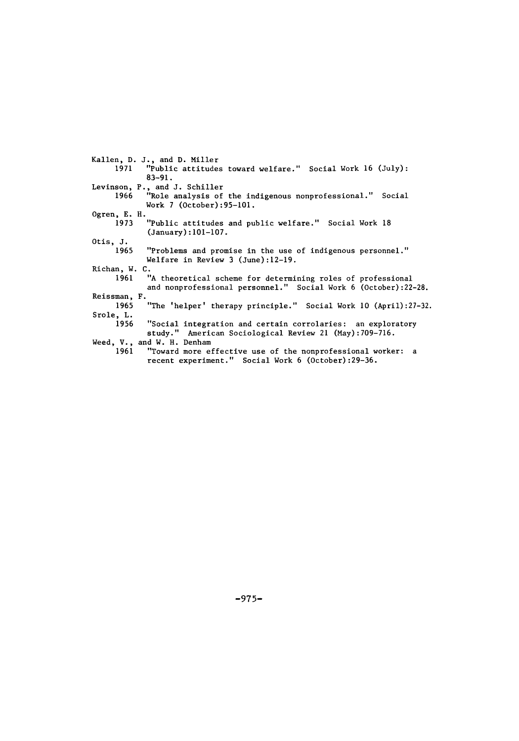Kallen, D. J., and **D.** Miller "Public attitudes toward welfare." Social Work 16 (July): 83-91. Levinson, P., and J. Schiller 1966 "Role analysis of the indigenous nonprofessional." Social Work 7 (October):95-101. Ogren, E. H.<br>1973 "Public attitudes and public welfare." Social Work 18 (January):101-107. Otis, J. "Problems and promise in the use of indigenous personnel." Welfare in Review 3 (June):12-19. Richan, W. C.<br>" 1961 "A theoretical scheme for determining roles of professional and nonprofessional personnel." Social Work 6 (October) :22-28. Reissman, F. 1965 "The 'helper' therapy principle." Social Work **10** (April):27-32. Srole, L. "Social integration and certain corrolaries: an exploratory study." American Sociological Review 21 (May):709-716. Weed, V., and W. H. Denham 1961 "Toward more effective use of the nonprofessional worker: a recent experiment." Social Work 6 (October):29-36.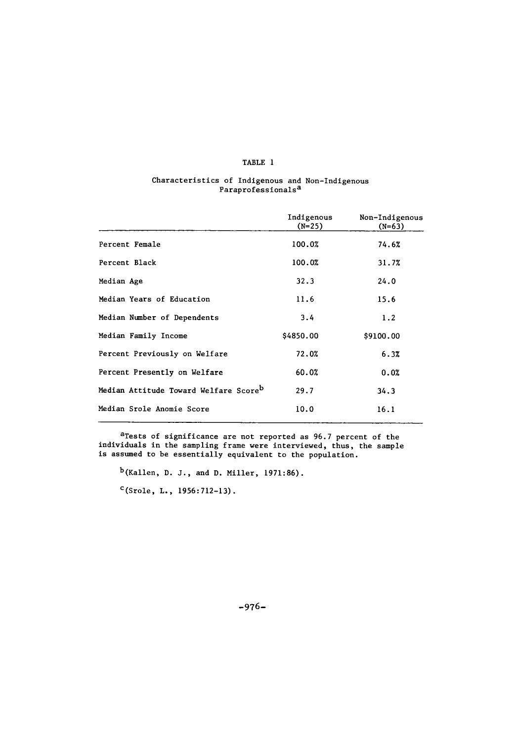# TABLE **1**

#### Characteristics of Indigenous and Non-Indigenous Paraprofessionals<sup>a</sup>

|                                                   | Indigenous<br>$(N=25)$ | Non-Indigenous<br>$(N=63)$ |
|---------------------------------------------------|------------------------|----------------------------|
| Percent Female                                    | 100.0%                 | 74.6%                      |
| Percent Black                                     | 100.0%                 | 31.7%                      |
| Median Age                                        | 32.3                   | 24.0                       |
| Median Years of Education                         | 11.6                   | 15.6                       |
| Median Number of Dependents                       | 3.4                    | 1.2                        |
| Median Family Income                              | \$4850.00              | \$9100.00                  |
| Percent Previously on Welfare                     | 72.0%                  | 6.3%                       |
| Percent Presently on Welfare                      | 60.0%                  | 0.0%                       |
| Median Attitude Toward Welfare Score <sup>b</sup> | 29.7                   | 34.3                       |
| Median Srole Anomie Score                         | 10.0                   | 16.1                       |

<sup>a</sup>Tests of significance are not reported as 96.7 percent of the individuals in the sampling frame were interviewed, thus, the sample is assumed to be essentially equivalent to the population.

b(Kallen, D. J., and D. Miller, 1971:86).

 $c$ (Srole, L., 1956:712-13).

-976-